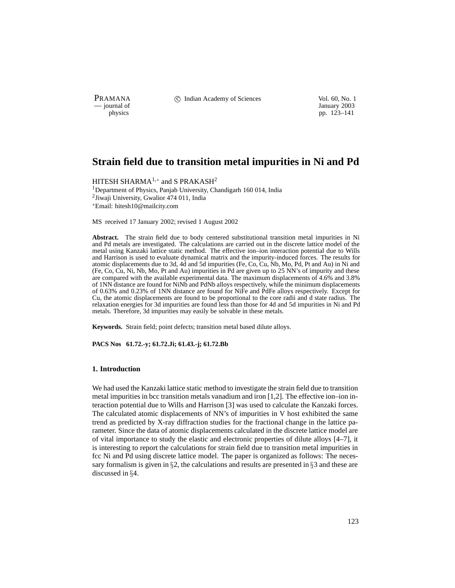PRAMANA 
<sup>c</sup> Indian Academy of Sciences 
<sup>Vol. 60, No. 1
<sup>1</sup> January 2003</sup>

January 2003 physics pp. 123–141

# **Strain field due to transition metal impurities in Ni and Pd**

HITESH SHARMA $^{1,*}$  and S PRAKASH $^{2}$ <sup>1</sup>Department of Physics, Panjab University, Chandigarh 160 014, India 2Jiwaji University, Gwalior 474 011, India Email: hitesh10@mailcity.com

MS received 17 January 2002; revised 1 August 2002

**Abstract.** The strain field due to body centered substitutional transition metal impurities in Ni and Pd metals are investigated. The calculations are carried out in the discrete lattice model of the metal using Kanzaki lattice static method. The effective ion–ion interaction potential due to Wills and Harrison is used to evaluate dynamical matrix and the impurity-induced forces. The results for atomic displacements due to 3d, 4d and 5d impurities (Fe, Co, Cu, Nb, Mo, Pd, Pt and Au) in Ni and (Fe, Co, Cu, Ni, Nb, Mo, Pt and Au) impurities in Pd are given up to 25 NN's of impurity and these are compared with the available experimental data. The maximum displacements of 4.6% and 3.8% of 1NN distance are found for NiNb and PdNb alloys respectively, while the minimum displacements of 0.63% and 0.23% of 1NN distance are found for NiFe and PdFe alloys respectively. Except for Cu, the atomic displacements are found to be proportional to the core radii and d state radius. The relaxation energies for 3d impurities are found less than those for 4d and 5d impurities in Ni and Pd metals. Therefore, 3d impurities may easily be solvable in these metals.

**Keywords.** Strain field; point defects; transition metal based dilute alloys.

**PACS Nos 61.72.-y; 61.72.Ji; 61.43.-j; 61.72.Bb**

#### **1. Introduction**

We had used the Kanzaki lattice static method to investigate the strain field due to transition metal impurities in bcc transition metals vanadium and iron [1,2]. The effective ion–ion interaction potential due to Wills and Harrison [3] was used to calculate the Kanzaki forces. The calculated atomic displacements of NN's of impurities in V host exhibited the same trend as predicted by X-ray diffraction studies for the fractional change in the lattice parameter. Since the data of atomic displacements calculated in the discrete lattice model are of vital importance to study the elastic and electronic properties of dilute alloys [4–7], it is interesting to report the calculations for strain field due to transition metal impurities in fcc Ni and Pd using discrete lattice model. The paper is organized as follows: The necessary formalism is given in  $\S2$ , the calculations and results are presented in  $\S3$  and these are discussed in §4.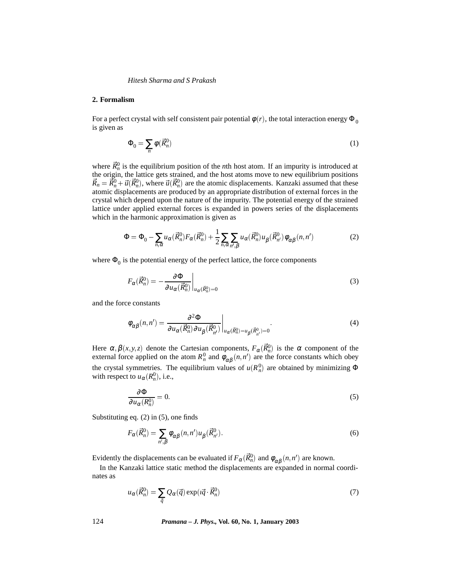#### **2. Formalism**

For a perfect crystal with self consistent pair potential  $\phi(r)$ , the total interaction energy  $\Phi_0$ is given as

$$
\Phi_0 = \sum_n \phi(\vec{R}_n^0) \tag{1}
$$

where  $\vec{R}_n^0$  is the equilibrium position of the *n*th host atom. If an impurity is introduced at the origin, the lattice gets strained, and the host atoms move to new equilibrium positions  $\vec{R}_n = \vec{R}_n^0 + \vec{u}(\vec{R}_n^0)$ , where  $\vec{u}(\vec{R}_n^0)$  are the atomic displacements. Kanzaki assumed that these atomic displacements are produced by an appropriate distribution of external forces in the crystal which depend upon the nature of the impurity. The potential energy of the strained lattice under applied external forces is expanded in powers series of the displacements which in the harmonic approximation is given as

$$
\Phi = \Phi_0 - \sum_{n,\alpha} u_{\alpha} (\vec{R}_n^0) F_{\alpha} (\vec{R}_n^0) + \frac{1}{2} \sum_{n,\alpha} \sum_{n',\beta} u_{\alpha} (\vec{R}_n^0) u_{\beta} (\vec{R}_{n'}^0) \phi_{\alpha\beta} (n, n') \tag{2}
$$

where  $\Phi_0$  is the potential energy of the perfect lattice, the force components

$$
F_{\alpha}(\vec{R}_n^0) = -\frac{\partial \Phi}{\partial u_{\alpha}(\vec{R}_n^0)}\bigg|_{u_{\alpha}(\vec{R}_n^0) = 0}
$$
\n(3)

and the force constants

$$
\phi_{\alpha\beta}(n,n') = \frac{\partial^2 \Phi}{\partial u_{\alpha}(\vec{R}_{n}^0) \partial u_{\beta}(\vec{R}_{n'}^0)} \bigg|_{u_{\alpha}(\vec{R}_{n}^0) = u_{\beta}(\vec{R}_{n'}^0) = 0}.
$$
\n(4)

Here  $\alpha, \beta(x, y, z)$  denote the Cartesian components,  $F_{\alpha}(\vec{R}_n^0)$  is the  $\alpha$  component of the external force applied on the atom  $R_n^0$  and  $\phi_{\alpha\beta}(n,n')$  are the force constants which obey the crystal symmetries. The equilibrium values of  $u(R_n^0)$  are obtained by minimizing  $\Phi$ with respect to  $u_{\alpha}(R_n^0)$ , i.e.,

$$
\frac{\partial \Phi}{\partial u_{\alpha}(R_n^0)} = 0. \tag{5}
$$

Substituting eq. (2) in (5), one finds

$$
F_{\alpha}(\vec{R}_n^0) = \sum_{n',\beta} \phi_{\alpha\beta}(n,n')u_{\beta}(\vec{R}_{n'}^0).
$$
 (6)

Evidently the displacements can be evaluated if  $F_\alpha(\vec{R}_n^0)$  and  $\phi_{\alpha\beta}(n,n')$  are known.

In the Kanzaki lattice static method the displacements are expanded in normal coordinates as

$$
u_{\alpha}(\vec{R}_n^0) = \sum_{\vec{q}} Q_{\alpha}(\vec{q}) \exp(i\vec{q} \cdot \vec{R}_n^0)
$$
 (7)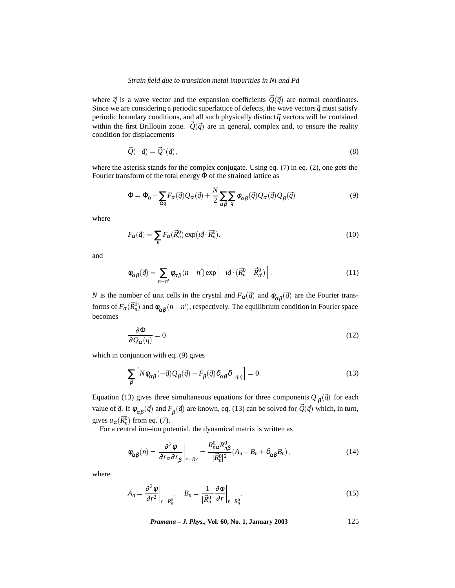where  $\vec{q}$  is a wave vector and the expansion coefficients  $\vec{Q}(\vec{q})$  are normal coordinates. Since we are considering a periodic superlattice of defects, the wave vectors  $\vec{q}$  must satisfy periodic boundary conditions, and all such physically distinct  $\vec{q}$  vectors will be contained within the first Brillouin zone.  $\vec{Q}(\vec{q})$  are in general, complex and, to ensure the reality condition for displacements

$$
\vec{Q}(-\vec{q}) = \vec{Q}^*(\vec{q}),\tag{8}
$$

where the asterisk stands for the complex conjugate. Using eq. (7) in eq. (2), one gets the Fourier transform of the total energy Φ of the strained lattice as

$$
\Phi = \Phi_0 - \sum_{\alpha q} F_{\alpha}(\vec{q}) Q_{\alpha}(\vec{q}) + \frac{N}{2} \sum_{\alpha \beta} \sum_{q} \phi_{\alpha \beta}(\vec{q}) Q_{\alpha}(\vec{q}) Q_{\beta}(\vec{q}) \tag{9}
$$

where

$$
F_{\alpha}(\vec{q}) = \sum_{n} F_{\alpha}(\vec{R}_n^0) \exp(i\vec{q} \cdot \vec{R}_n^0), \qquad (10)
$$

and

$$
\phi_{\alpha\beta}(\vec{q}) = \sum_{n-n'} \phi_{\alpha\beta}(n-n') \exp\left[-i\vec{q} \cdot (\vec{R}_n^0 - \vec{R}_{n'}^0)\right].
$$
\n(11)

*N* is the number of unit cells in the crystal and  $F_\alpha(\vec{q})$  and  $\phi_{\alpha\beta}(\vec{q})$  are the Fourier transforms of  $F_\alpha(\vec{R}_n^0)$  and  $\phi_{\alpha\beta}(n-n'),$  respectively. The equilibrium condition in Fourier space becomes

$$
\frac{\partial \Phi}{\partial Q_{\alpha}(q)} = 0 \tag{12}
$$

which in conjuntion with eq. (9) gives

$$
\sum_{\beta} \left[ N \phi_{\alpha\beta} (-\vec{q}) Q_{\beta} (\vec{q}) - F_{\beta} (\vec{q}) \delta_{\alpha\beta} \delta_{-\vec{q},\vec{q}} \right] = 0. \tag{13}
$$

Equation (13) gives three simultaneous equations for three components  $Q_\beta(\vec{q})$  for each value of  $\vec{q}$ . If  $\phi_{\alpha\beta}(\vec{q})$  and  $F_{\beta}(\vec{q})$  are known, eq. (13) can be solved for  $\vec{Q}(\vec{q})$  which, in turn, gives  $u_{\alpha}(\vec{R}_n^0)$  from eq. (7).

For a central ion–ion potential, the dynamical matrix is written as

$$
\phi_{\alpha\beta}(n) = \frac{\partial^2 \phi}{\partial r_{\alpha} \partial r_{\beta}} \bigg|_{r=R_n^0} = \frac{R_{n\alpha}^0 R_{n\beta}^0}{|\vec{R}_n^0|^2} (A_n - B_n + \delta_{\alpha\beta} B_n), \tag{14}
$$

where

$$
A_n = \frac{\partial^2 \phi}{\partial r^2}\bigg|_{r=R_n^0}, \quad B_n = \frac{1}{|\vec{R}_n^0|} \frac{\partial \phi}{\partial r}\bigg|_{r=R_n^0}.
$$
 (15)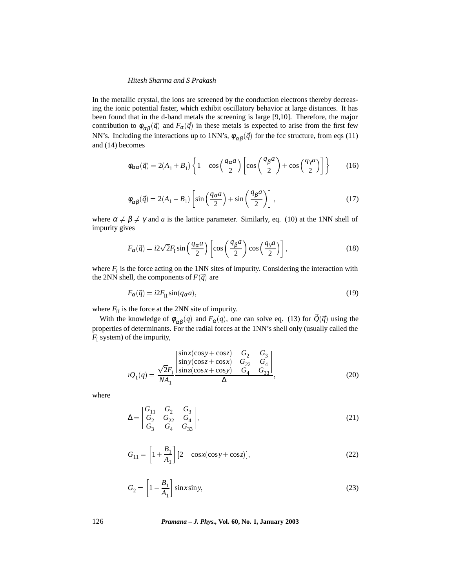In the metallic crystal, the ions are screened by the conduction electrons thereby decreasing the ionic potential faster, which exhibit oscillatory behavior at large distances. It has been found that in the d-band metals the screening is large [9,10]. Therefore, the major contribution to  $\phi_{\alpha\beta}(\vec{q})$  and  $F_{\alpha}(\vec{q})$  in these metals is expected to arise from the first few NN's. Including the interactions up to 1NN's,  $\phi_{\alpha\beta}(\vec{q})$  for the fcc structure, from eqs (11) and (14) becomes

$$
\phi_{\alpha\alpha}(\vec{q}) = 2(A_1 + B_1) \left\{ 1 - \cos\left(\frac{q_\alpha a}{2}\right) \left[ \cos\left(\frac{q_\beta a}{2}\right) + \cos\left(\frac{q_\gamma a}{2}\right) \right] \right\}
$$
(16)

$$
\phi_{\alpha\beta}(\vec{q}) = 2(A_1 - B_1) \left[ \sin\left(\frac{q_{\alpha}a}{2}\right) + \sin\left(\frac{q_{\beta}a}{2}\right) \right],\tag{17}
$$

where  $\alpha \neq \beta \neq \gamma$  and *a* is the lattice parameter. Similarly, eq. (10) at the 1NN shell of impurity gives

$$
F_{\alpha}(\vec{q}) = i2\sqrt{2}F_1\sin\left(\frac{q_{\alpha}a}{2}\right)\left[\cos\left(\frac{q_{\beta}a}{2}\right)\cos\left(\frac{q_{\gamma}a}{2}\right)\right],\tag{18}
$$

where  $F_I$  is the force acting on the 1NN sites of impurity. Considering the interaction with the 2NN shell, the components of  $F(\vec{q})$  are

$$
F_{\alpha}(\vec{q}) = i2F_{\text{II}}\sin(q_{\alpha}a),\tag{19}
$$

where  $F_{II}$  is the force at the 2NN site of impurity.

With the knowledge of  $\phi_{\alpha\beta}(q)$  and  $F_{\alpha}(q)$ , one can solve eq. (13) for  $\vec{Q}(\vec{q})$  using the properties of determinants. For the radial forces at the 1NN's shell only (usually called the  $F_I$  system) of the impurity,

$$
iQ_1(q) = \frac{\sqrt{2}F_1}{NA_1} \frac{\begin{vmatrix} \sin x(\cos y + \cos z) & G_2 & G_3 \\ \sin y(\cos z + \cos x) & G_{22} & G_4 \\ \sin z(\cos x + \cos y) & G_4 & G_{33} \end{vmatrix}}{\Delta},
$$
(20)

where

$$
\Delta = \begin{vmatrix} G_{11} & G_2 & G_3 \\ G_2 & G_{22} & G_4 \\ G_3 & G_4 & G_{33} \end{vmatrix},
$$
 (21)

$$
G_{11} = \left[1 + \frac{B_1}{A_1}\right] \left[2 - \cos x(\cos y + \cos z)\right],\tag{22}
$$

$$
G_2 = \left[1 - \frac{B_1}{A_1}\right] \sin x \sin y,\tag{23}
$$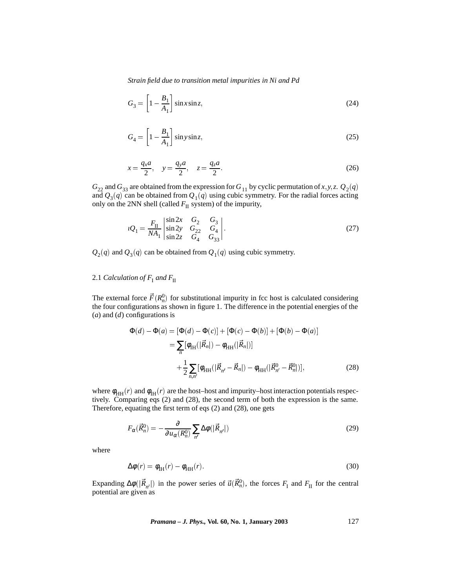$$
G_3 = \left[1 - \frac{B_1}{A_1}\right] \sin x \sin z,\tag{24}
$$

$$
G_4 = \left[1 - \frac{B_1}{A_1}\right] \sin y \sin z,\tag{25}
$$

$$
x = \frac{q_x a}{2}, \quad y = \frac{q_y a}{2}, \quad z = \frac{q_z a}{2}.
$$
 (26)

 $G_{22}$  and  $G_{33}$  are obtained from the expression for  $G_{11}$  by cyclic permutation of *x*, *y*, *z*.  $Q_2(q)$ and  $Q_3(q)$  can be obtained from  $Q_1(q)$  using cubic symmetry. For the radial forces acting only on the 2NN shell (called  $F_{II}$  system) of the impurity,

$$
{}_{l}Q_{1} = \frac{F_{\rm II}}{NA_{1}} \begin{vmatrix} \sin 2x & G_{2} & G_{3} \\ \sin 2y & G_{22} & G_{4} \\ \sin 2z & G_{4} & G_{33} \end{vmatrix} . \tag{27}
$$

 $Q_2(q)$  and  $Q_3(q)$  can be obtained from  $Q_1(q)$  using cubic symmetry.

## 2.1 *Calculation of*  $F_{\rm I}$  *and*  $F_{\rm II}$

The external force  $\vec{F}(R_n^0)$  for substitutional impurity in fcc host is calculated considering the four configurations as shown in figure 1. The difference in the potential energies of the (*a*) and (*d*) configurations is

$$
\Phi(d) - \Phi(a) = [\Phi(d) - \Phi(c)] + [\Phi(c) - \Phi(b)] + [\Phi(b) - \Phi(a)]
$$
  
\n
$$
= \sum_{n} [\phi_{IH}(|\vec{R}_{n}|) - \phi_{HH}(|\vec{R}_{n}|)]
$$
  
\n
$$
+ \frac{1}{2} \sum_{n,n'} [\phi_{HH}(|\vec{R}_{n'} - \vec{R}_{n}|) - \phi_{HH}(|\vec{R}_{n'}^{0} - \vec{R}_{n}^{0}|)],
$$
\n(28)

where  $\phi_{HH}(r)$  and  $\phi_{HH}(r)$  are the host–host and impurity–host interaction potentials respectively. Comparing eqs (2) and (28), the second term of both the expression is the same. Therefore, equating the first term of eqs (2) and (28), one gets

$$
F_{\alpha}(\vec{R}_n^0) = -\frac{\partial}{\partial u_{\alpha}(R_n^0)} \sum_{n'} \Delta \phi(|\vec{R}_{n'}|)
$$
\n(29)

where

$$
\Delta \phi(r) = \phi_{\text{IH}}(r) - \phi_{\text{HH}}(r). \tag{30}
$$

Expanding  $\Delta \phi(|\vec{R}_{n'}|)$  in the power series of  $\vec{u}(\vec{R}_n^0)$ , the forces  $F_I$  and  $F_{II}$  for the central potential are given as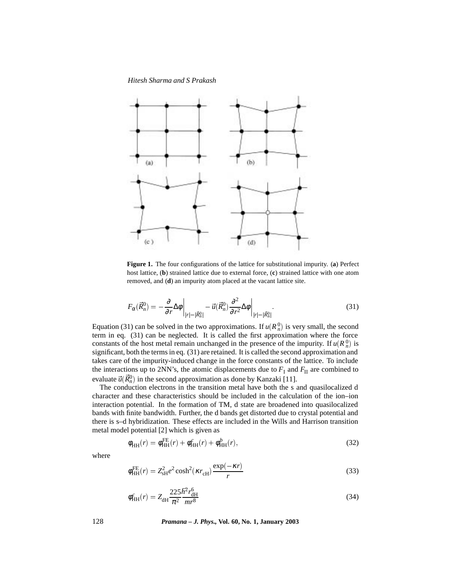

**Figure 1.** The four configurations of the lattice for substitutional impurity. (**a**) Perfect host lattice, (**b**) strained lattice due to external force, (**c**) strained lattice with one atom removed, and (**d**) an impurity atom placed at the vacant lattice site.

$$
F_{\alpha}(\vec{R}_n^0) = -\frac{\partial}{\partial r}\Delta\phi\bigg|_{|r|=|\vec{R}_n^0|} - \vec{u}(\vec{R}_n^0)\frac{\partial^2}{\partial r^2}\Delta\phi\bigg|_{|r|=|\vec{R}_n^0|}.
$$
\n(31)

Equation (31) can be solved in the two approximations. If  $u(R_n^0)$  is very small, the second term in eq. (31) can be neglected. It is called the first approximation where the force constants of the host metal remain unchanged in the presence of the impurity. If  $u(R_n^0)$  is significant, both the terms in eq. (31) are retained. It is called the second approximation and takes care of the impurity-induced change in the force constants of the lattice. To include the interactions up to 2NN's, the atomic displacements due to  $F<sub>I</sub>$  and  $F<sub>II</sub>$  are combined to evaluate  $\vec{u}(\vec{R}_n^0)$  in the second approximation as done by Kanzaki [11].

The conduction electrons in the transition metal have both the s and quasilocalized d character and these characteristics should be included in the calculation of the ion–ion interaction potential. In the formation of TM, d state are broadened into quasilocalized bands with finite bandwidth. Further, the d bands get distorted due to crystal potential and there is s–d hybridization. These effects are included in the Wills and Harrison transition metal model potential [2] which is given as

$$
\phi_{HH}(r) = \phi_{HH}^{FE}(r) + \phi_{HH}^{c}(r) + \phi_{HH}^{b}(r),
$$
\n(32)

where

$$
\phi_{\rm HH}^{\rm FE}(r) = Z_{\rm sH}^2 e^2 \cosh^2(\kappa r_{\rm cH}) \frac{\exp(-\kappa r)}{r}
$$
\n(33)

$$
\phi_{HH}^c(r) = Z_{\text{dH}} \frac{225 \hbar^2 r_{\text{dH}}^6}{\pi^2 m r^8}
$$
\n(34)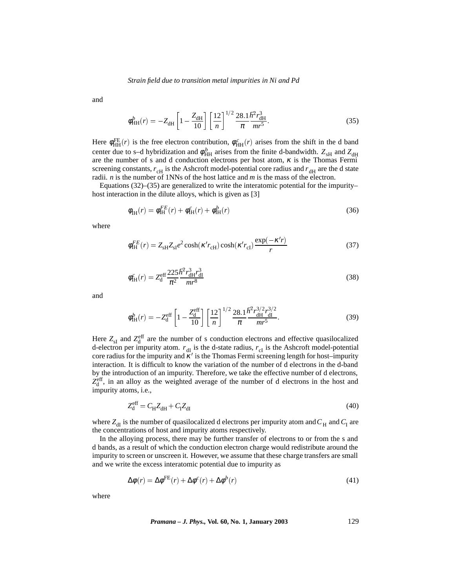and

$$
\phi_{HH}^b(r) = -Z_{\text{dH}} \left[ 1 - \frac{Z_{\text{dH}}}{10} \right] \left[ \frac{12}{n} \right]^{1/2} \frac{28.1 \hbar^2 r_{\text{dH}}^3}{\pi} \text{m} r^5. \tag{35}
$$

Here  $\phi_{HH}^{FE}(r)$  is the free electron contribution,  $\phi_{HH}^{c}(r)$  arises from the shift in the d band center due to s–d hybridization and  $\phi_{HH}^b$  arises from the finite d-bandwidth.  $Z_{sH}$  and  $Z_{dH}$ are the number of s and d conduction electrons per host atom,  $\kappa$  is the Thomas Fermi screening constants,  $r_{cH}$  is the Ashcroft model-potential core radius and  $r_{dH}$  are the d state radii. *n* is the number of 1NNs of the host lattice and *m* is the mass of the electron.

Equations (32)–(35) are generalized to write the interatomic potential for the impurity– host interaction in the dilute alloys, which is given as [3]

$$
\phi_{\text{IH}}(r) = \phi_{\text{IH}}^{FE}(r) + \phi_{\text{IH}}^{c}(r) + \phi_{\text{IH}}^{b}(r)
$$
\n(36)

where

$$
\phi_{\rm IH}^{FE}(r) = Z_{\rm sH} Z_{\rm sl} e^2 \cosh(\kappa' r_{\rm cH}) \cosh(\kappa' r_{\rm cl}) \frac{\exp(-\kappa' r)}{r}
$$
\n(37)

$$
\phi_{\text{IH}}^{c}(r) = Z_{\text{d}}^{\text{eff}} \frac{225 \hbar^2 r_{\text{dH}}^3 r_{\text{dI}}^3}{\pi^2 m r^8}
$$
\n(38)

and

$$
\phi_{\text{IH}}^{b}(r) = -Z_{\text{d}}^{\text{eff}} \left[ 1 - \frac{Z_{\text{d}}^{\text{eff}}}{10} \right] \left[ \frac{12}{n} \right]^{1/2} \frac{28.1}{\pi} \frac{\hbar^2 r_{\text{dH}}^{3/2} r_{\text{dI}}^{3/2}}{m r^5}.
$$
\n(39)

Here  $Z_{sI}$  and  $Z_{d}^{eff}$  are the number of s conduction electrons and effective quasilocalized d-electron per impurity atom.  $r_{\text{dI}}$  is the d-state radius,  $r_{\text{cI}}$  is the Ashcroft model-potential core radius for the impurity and  $\kappa'$  is the Thomas Fermi screening length for host–impurity interaction. It is difficult to know the variation of the number of d electrons in the d-band by the introduction of an impurity. Therefore, we take the effective number of d electrons,  $Z_d^{\text{eff}}$ , in an alloy as the weighted average of the number of d electrons in the host and impurity atoms, i.e.,

$$
Z_d^{\text{eff}} = C_H Z_{\text{dH}} + C_I Z_{\text{dI}} \tag{40}
$$

where  $Z_{dI}$  is the number of quasilocalized d electrons per impurity atom and  $C_H$  and  $C_I$  are the concentrations of host and impurity atoms respectively.

In the alloying process, there may be further transfer of electrons to or from the s and d bands, as a result of which the conduction electron charge would redistribute around the impurity to screen or unscreen it. However, we assume that these charge transfers are small and we write the excess interatomic potential due to impurity as

$$
\Delta \phi(r) = \Delta \phi^{\text{FE}}(r) + \Delta \phi^c(r) + \Delta \phi^b(r)
$$
\n(41)

where

*Pramana – J. Phys.,* **Vol. 60, No. 1, January 2003** 129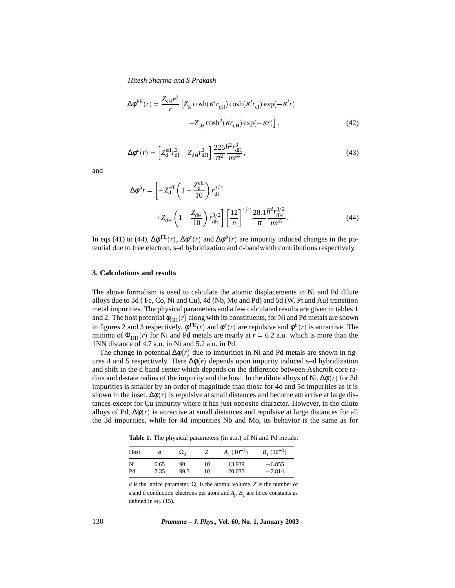$$
\Delta \phi^{\text{FE}}(r) = \frac{Z_{\text{sH}}e^2}{r} \left[ Z_{\text{sI}} \cosh(\kappa' r_{\text{cH}}) \cosh(\kappa' r_{\text{cI}}) \exp(-\kappa' r) - Z_{\text{sH}} \cosh^2(\kappa r_{\text{cH}}) \exp(-\kappa r) \right],\tag{42}
$$

$$
\Delta \phi^c(r) = \left[ Z_d^{\text{eff}} r_{\text{dI}}^3 - Z_{\text{dH}} r_{\text{dH}}^3 \right] \frac{225 \hbar^2 r_{\text{dH}}^3}{\pi^2 m r^8},\tag{43}
$$

and

$$
\Delta \phi^b r = \left[ -Z_d^{\text{eff}} \left( 1 - \frac{Z_d^{\text{eff}}}{10} \right) r_{\text{dI}}^{3/2} + Z_{\text{dH}} \left( 1 - \frac{Z_{\text{dH}}}{10} \right) r_{\text{dH}}^{3/2} \right] \left[ \frac{12}{n} \right]^{1/2} \frac{28.1}{\pi} \frac{\hbar^2 r_{\text{dH}}^{3/2}}{m r^5}.
$$
 (44)

In eqs (41) to (44),  $\Delta \phi^{\text{FE}}(r)$ ,  $\Delta \phi^c(r)$  and  $\Delta \phi^b(r)$  are impurity induced changes in the potential due to free electron, s–d hybridization and d-bandwidth contributions respectively.

#### **3. Calculations and results**

The above formalism is used to calculate the atomic displacements in Ni and Pd dilute alloys due to 3d ( Fe, Co, Ni and Cu), 4d (Nb, Mo and Pd) and 5d (W, Pt and Au) transition metal impurities. The physical parameters and a few calculated results are given in tables 1 and 2. The host potential  $\phi_{HH}(r)$  along with its constituents, for Ni and Pd metals are shown in figures 2 and 3 respectively.  $\phi^{FE}(r)$  and  $\phi^c(r)$  are repulsive and  $\phi^b(r)$  is attractive. The minima of  $\Phi_{HH}(r)$  for Ni and Pd metals are nearly at  $r = 6.2$  a.u. which is more than the 1NN distance of 4.7 a.u. in Ni and 5.2 a.u. in Pd.

The change in potential  $\Delta\phi(r)$  due to impurities in Ni and Pd metals are shown in figures 4 and 5 respectively. Here  $\Delta \phi(r)$  depends upon impurity induced s–d hybridization and shift in the d band center which depends on the difference between Ashcroft core radius and d-state radius of the impurity and the host. In the dilute alloys of Ni,  $\Delta\phi(r)$  for 3d impurities is smaller by an order of magnitude than those for 4d and 5d impurities as it is shown in the inset.  $\Delta\phi(r)$  is repulsive at small distances and become attractive at large distances except for Cu impurity where it has just opposite character. However, in the dilute alloys of Pd,  $\Delta\phi(r)$  is attractive at small distances and repulsive at large distances for all the 3d impurities, while for 4d impurities Nb and Mo, its behavior is the same as for

**Table 1.** The physical parameters (in a.u.) of Ni and Pd metals.

| Host | a    | $\Omega_0$ |    | $A_1(10^{-3})$ | $B_1(10^{-3})$ |  |
|------|------|------------|----|----------------|----------------|--|
| Ni   | 6.65 | 90         | 10 | 13.939         | $-6.855$       |  |
| Pd   | 7.35 | 99.3       | 10 | 20.033         | $-7.814$       |  |

*a* is the lattice parameter,  $\Omega_0$  is the atomic volume, *Z* is the number of s and d conduction electrons per atom and  $A_1$ ,  $B_1$  are force constants as defined in eq. (15).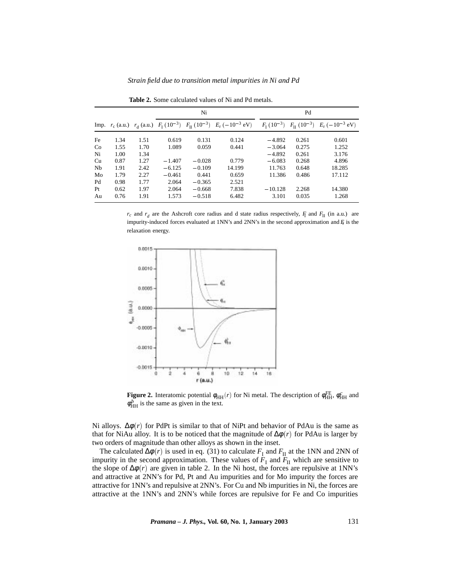| Strain field due to transition metal impurities in Ni and Pd |  |
|--------------------------------------------------------------|--|
|--------------------------------------------------------------|--|

|    |      |      |          | Ni       |                                                                                                                    |           | Pd    |                                                                                                     |
|----|------|------|----------|----------|--------------------------------------------------------------------------------------------------------------------|-----------|-------|-----------------------------------------------------------------------------------------------------|
|    |      |      |          |          | Imp. $r_c$ (a.u.) $r_d$ (a.u.) $F_I$ (10 <sup>-3</sup> ) $F_{II}$ (10 <sup>-3</sup> ) $E_r$ (-10 <sup>-3</sup> eV) |           |       | $F_{\rm I}$ (10 <sup>-3</sup> ) $F_{\rm II}$ (10 <sup>-3</sup> ) $E_{\rm r}$ (-10 <sup>-3</sup> eV) |
| Fe | 1.34 | 1.51 | 0.619    | 0.131    | 0.124                                                                                                              | $-4.892$  | 0.261 | 0.601                                                                                               |
| Co | 1.55 | 1.70 | 1.089    | 0.059    | 0.441                                                                                                              | $-3.064$  | 0.275 | 1.252                                                                                               |
| Ni | 1.00 | 1.34 |          |          |                                                                                                                    | $-4.892$  | 0.261 | 3.176                                                                                               |
| Cu | 0.87 | 1.27 | $-1.407$ | $-0.028$ | 0.779                                                                                                              | $-6.083$  | 0.268 | 4.896                                                                                               |
| Nb | 1.91 | 2.42 | $-6.125$ | $-0.109$ | 14.199                                                                                                             | 11.763    | 0.648 | 18.285                                                                                              |
| Mo | 1.79 | 2.27 | $-0.461$ | 0.441    | 0.659                                                                                                              | 11.386    | 0.486 | 17.112                                                                                              |
| Pd | 0.98 | 1.77 | 2.064    | $-0.365$ | 2.521                                                                                                              |           |       |                                                                                                     |
| Pt | 0.62 | 1.97 | 2.064    | $-0.668$ | 7.838                                                                                                              | $-10.128$ | 2.268 | 14.380                                                                                              |
| Au | 0.76 | 1.91 | 1.573    | $-0.518$ | 6.482                                                                                                              | 3.101     | 0.035 | 1.268                                                                                               |

**Table 2.** Some calculated values of Ni and Pd metals.

 $r_c$  and  $r_d$  are the Ashcroft core radius and d state radius respectively,  $F_I$  and  $F_{II}$  (in a.u.) are impurity-induced forces evaluated at 1NN's and 2NN's in the second approximation and  $F<sub>i</sub>$  is the relaxation energy.



**Figure 2.** Interatomic potential  $\phi_{HH}(r)$  for Ni metal. The description of  $\phi_{HH}^{FE}$ ,  $\phi_{HH}^{c}$  and  $\phi_{HH}^b$  is the same as given in the text.

Ni alloys.  $\Delta \phi(r)$  for PdPt is similar to that of NiPt and behavior of PdAu is the same as that for NiAu alloy. It is to be noticed that the magnitude of  $\Delta \phi(r)$  for PdAu is larger by two orders of magnitude than other alloys as shown in the inset.

The calculated  $\Delta\phi(r)$  is used in eq. (31) to calculate  $F_I$  and  $F_{II}$  at the 1NN and 2NN of impurity in the second approximation. These values of  $F<sub>I</sub>$  and  $F<sub>II</sub>$  which are sensitive to the slope of  $\Delta\phi(r)$  are given in table 2. In the Ni host, the forces are repulsive at 1NN's and attractive at 2NN's for Pd, Pt and Au impurities and for Mo impurity the forces are attractive for 1NN's and repulsive at 2NN's. For Cu and Nb impurities in Ni, the forces are attractive at the 1NN's and 2NN's while forces are repulsive for Fe and Co impurities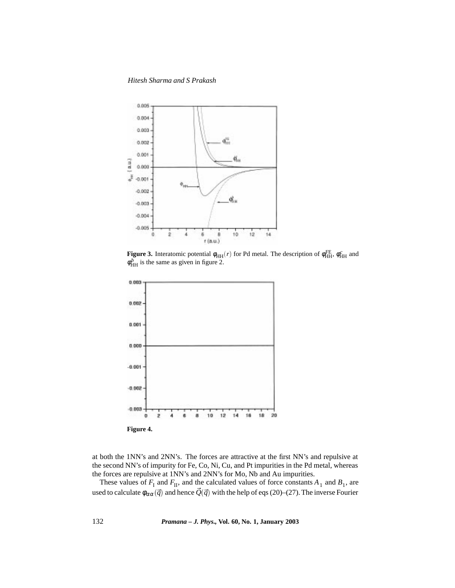*Hitesh Sharma and S Prakash*



**Figure 3.** Interatomic potential  $\phi_{HH}(r)$  for Pd metal. The description of  $\phi_{HH}^{FE}$ ,  $\phi_{HH}^c$  and  $\phi_{HH}^b$  is the same as given in figure 2.



at both the 1NN's and 2NN's. The forces are attractive at the first NN's and repulsive at the second NN's of impurity for Fe, Co, Ni, Cu, and Pt impurities in the Pd metal, whereas the forces are repulsive at 1NN's and 2NN's for Mo, Nb and Au impurities.

These values of  $F_I$  and  $F_{II}$ , and the calculated values of force constants  $A_1$  and  $B_1$ , are used to calculate  $\phi_{\alpha\alpha}(\vec{q})$  and hence  $\vec{Q}(\vec{q})$  with the help of eqs (20)–(27). The inverse Fourier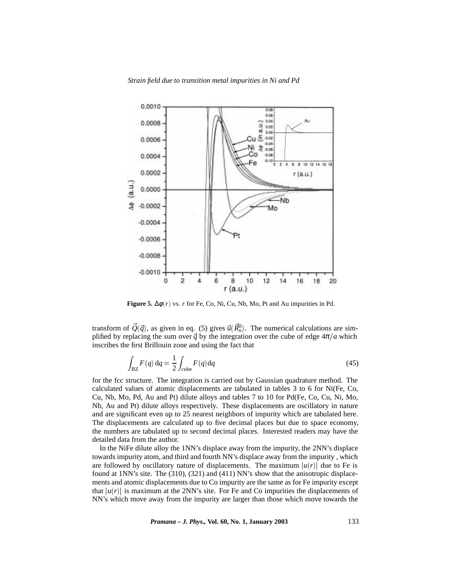*Strain field due to transition metal impurities in Ni and Pd*



**Figure 5.**  $\Delta\phi(r)$  vs. *r* for Fe, Co, Ni, Cu, Nb, Mo, Pt and Au impurities in Pd.

transform of  $\vec{Q}(\vec{q})$ , as given in eq. (5) gives  $\vec{u}(\vec{R}_n^0)$ . The numerical calculations are simplified by replacing the sum over  $\vec{q}$  by the integration over the cube of edge  $4\pi/a$  which inscribes the first Brillouin zone and using the fact that

$$
\int_{\text{BZ}} F(q) \, dq = \frac{1}{2} \int_{\text{cube}} F(q) dq \tag{45}
$$

for the fcc structure. The integration is carried out by Gaussian quadrature method. The calculated values of atomic displacements are tabulated in tables 3 to 6 for Ni(Fe, Co, Cu, Nb, Mo, Pd, Au and Pt) dilute alloys and tables 7 to 10 for Pd(Fe, Co, Cu, Ni, Mo, Nb, Au and Pt) dilute alloys respectively. These displacements are oscillatory in nature and are significant even up to 25 nearest neighbors of impurity which are tabulated here. The displacements are calculated up to five decimal places but due to space economy, the numbers are tabulated up to second decimal places. Interested readers may have the detailed data from the author.

In the NiFe dilute alloy the 1NN's displace away from the impurity, the 2NN's displace towards impurity atom, and third and fourth NN's displace away from the impurity , which are followed by oscillatory nature of displacements. The maximum  $|u(r)|$  due to Fe is found at 1NN's site. The (310), (321) and (411) NN's show that the anisotropic displacements and atomic displacements due to Co impurity are the same as for Fe impurity except that  $|u(r)|$  is maximum at the 2NN's site. For Fe and Co impurities the displacements of NN's which move away from the impurity are larger than those which move towards the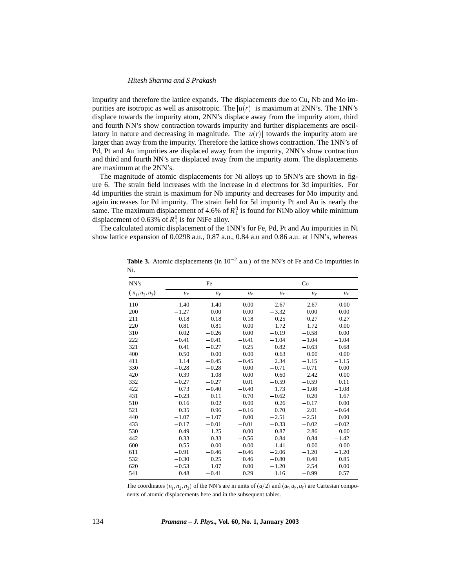impurity and therefore the lattice expands. The displacements due to Cu, Nb and Mo impurities are isotropic as well as anisotropic. The  $|u(r)|$  is maximum at 2NN's. The 1NN's displace towards the impurity atom, 2NN's displace away from the impurity atom, third and fourth NN's show contraction towards impurity and further displacements are oscillatory in nature and decreasing in magnitude. The  $|u(r)|$  towards the impurity atom are larger than away from the impurity. Therefore the lattice shows contraction. The 1NN's of Pd, Pt and Au impurities are displaced away from the impurity, 2NN's show contraction and third and fourth NN's are displaced away from the impurity atom. The displacements are maximum at the 2NN's.

The magnitude of atomic displacements for Ni alloys up to 5NN's are shown in figure 6. The strain field increases with the increase in d electrons for 3d impurities. For 4d impurities the strain is maximum for Nb impurity and decreases for Mo impurity and again increases for Pd impurity. The strain field for 5d impurity Pt and Au is nearly the same. The maximum displacement of 4.6% of  $R_1^0$  is found for NiNb alloy while minimum displacement of 0.63% of  $R_1^0$  is for NiFe alloy.

The calculated atomic displacement of the 1NN's for Fe, Pd, Pt and Au impurities in Ni show lattice expansion of 0.0298 a.u., 0.87 a.u., 0.84 a.u and 0.86 a.u. at 1NN's, whereas

| NN's              |         | Fe      |                |         | Co      |         |
|-------------------|---------|---------|----------------|---------|---------|---------|
| $(n_1, n_2, n_3)$ | $u_x$   | $u_{v}$ | u <sub>z</sub> | $u_x$   | $u_{v}$ | $u_z$   |
| 110               | 1.40    | 1.40    | 0.00           | 2.67    | 2.67    | 0.00    |
| 200               | $-1.27$ | 0.00    | 0.00           | $-3.32$ | 0.00    | 0.00    |
| 211               | 0.18    | 0.18    | 0.18           | 0.25    | 0.27    | 0.27    |
| 220               | 0.81    | 0.81    | 0.00           | 1.72    | 1.72    | 0.00    |
| 310               | 0.02    | $-0.26$ | 0.00           | $-0.19$ | $-0.58$ | 0.00    |
| 222               | $-0.41$ | $-0.41$ | $-0.41$        | $-1.04$ | $-1.04$ | $-1.04$ |
| 321               | 0.41    | $-0.27$ | 0.25           | 0.82    | $-0.63$ | 0.68    |
| 400               | 0.50    | 0.00    | 0.00           | 0.63    | 0.00    | 0.00    |
| 411               | 1.14    | $-0.45$ | $-0.45$        | 2.34    | $-1.15$ | $-1.15$ |
| 330               | $-0.28$ | $-0.28$ | 0.00           | $-0.71$ | $-0.71$ | 0.00    |
| 420               | 0.39    | 1.08    | 0.00           | 0.60    | 2.42    | 0.00    |
| 332               | $-0.27$ | $-0.27$ | 0.01           | $-0.59$ | $-0.59$ | 0.11    |
| 422               | 0.73    | $-0.40$ | $-0.40$        | 1.73    | $-1.08$ | $-1.08$ |
| 431               | $-0.23$ | 0.11    | 0.70           | $-0.62$ | 0.20    | 1.67    |
| 510               | 0.16    | 0.02    | 0.00           | 0.26    | $-0.17$ | 0.00    |
| 521               | 0.35    | 0.96    | $-0.16$        | 0.70    | 2.01    | $-0.64$ |
| 440               | $-1.07$ | $-1.07$ | 0.00           | $-2.51$ | $-2.51$ | 0.00    |
| 433               | $-0.17$ | $-0.01$ | $-0.01$        | $-0.33$ | $-0.02$ | $-0.02$ |
| 530               | 0.49    | 1.25    | 0.00           | 0.87    | 2.86    | 0.00    |
| 442               | 0.33    | 0.33    | $-0.56$        | 0.84    | 0.84    | $-1.42$ |
| 600               | 0.55    | 0.00    | 0.00           | 1.41    | 0.00    | 0.00    |
| 611               | $-0.91$ | $-0.46$ | $-0.46$        | $-2.06$ | $-1.20$ | $-1.20$ |
| 532               | $-0.30$ | 0.25    | 0.46           | $-0.80$ | 0.40    | 0.85    |
| 620               | $-0.53$ | 1.07    | 0.00           | $-1.20$ | 2.54    | 0.00    |
| 541               | 0.48    | $-0.41$ | 0.29           | 1.16    | $-0.99$ | 0.57    |

**Table 3.** Atomic displacements (in  $10^{-2}$  a.u.) of the NN's of Fe and Co impurities in Ni.

The coordinates  $(n_1, n_2, n_3)$  of the NN's are in units of  $(a/2)$  and  $(u_x, u_y, u_z)$  are Cartesian components of atomic displacements here and in the subsequent tables.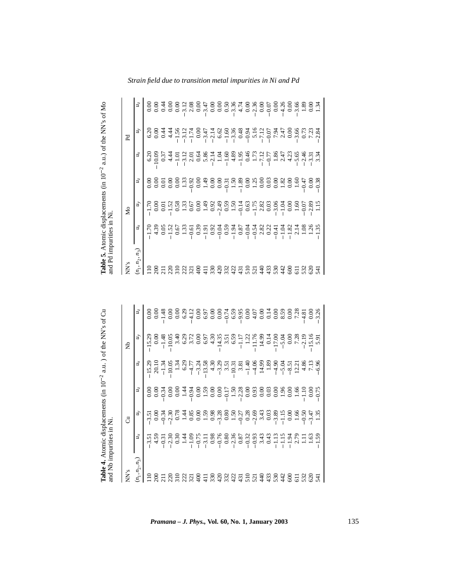| Table 5. Atomic displacements (in 10 <sup>-2</sup><br>and Pd impurities in Ni |             |                    |               |                        | a.u.) of the NN's of Mo             |                |
|-------------------------------------------------------------------------------|-------------|--------------------|---------------|------------------------|-------------------------------------|----------------|
| NN's                                                                          |             | δ                  |               |                        | Pd                                  |                |
| $(n_1, n_2, n_3)$                                                             | $u_{\rm x}$ | $u_y$              | $u_z$         | йx                     | йy                                  | $u_z$          |
| $\frac{10}{200}$                                                              | 1.70        | 1.70               | 0.00          | 6.20                   | 6.20                                | $_{0.00}$      |
|                                                                               | 4.39        | $_{0.00}$          | 0.00          | 10.09                  | $_{\rm 0.00}$                       | 0.00           |
|                                                                               | 0.05        | 0.01               | 0.01          | 0.37                   | 6.4                                 | 0.44           |
| $\frac{20}{310}$                                                              | $\ddot{c}$  | 1.52               | 0.00          | 4.44                   | 4.44                                | 0.00           |
|                                                                               | 0.67        | 0.58               | 0.00          | $\overline{1.01}$      | 1.56                                | 0.00           |
| 22                                                                            | 1.33        | 1.33               | 1.33          | 3.12                   | 3.12                                | 3.12           |
| $\overline{321}$                                                              | $-0.61$     | 0.67               | 0.92          | 2.01                   | $\vec{r}$                           | 2.08           |
| $rac{1}{2}$                                                                   | 0.39        | 0.00               | 0.00          | 0.64                   | 0.00                                | 0.00           |
| $\overline{11}$                                                               | $-1.91$     | 49                 | 49            | 5.86                   | 3.47                                | 3.47           |
| 330                                                                           | 0.92        | 0.92               | 0.00          | 2.14                   | 2.14                                | 0.00           |
| 420                                                                           | $-0.04$     | 2.49               | 0.00          | 1.04                   | 6.62                                | 0.00           |
| 332                                                                           | 0.59        | 0.59               | 0.31          | 1.60                   | $-1.60$                             | 0.50           |
| 422                                                                           | $-1.94$     | 1.50               | 1.50          | 4.89                   | 3.36                                | 3.36           |
| 431                                                                           | 0.87        | $-0.14$            | 1.89          | 1.95                   | 0.48                                | 4.74           |
| 510                                                                           | $-0.04$     | 0.63               | $_{0.00}$     | 0.46                   | $-0.94$                             | $_{0.00}$      |
| $\frac{21}{40}$                                                               | $-0.54$     | 1.75               | 1.25          | 1.73                   | $5.16$ $7.12$                       | 2.36           |
|                                                                               | 2.82        | 2.82               | 0.00          | 7.12                   |                                     | 0.00           |
| 433                                                                           | 0.22        | 0.03               | 0.03          | $-0.77$                | 0.07                                | $-0.07$        |
| 530                                                                           | $-0.41$     | 3.06               | 0.00          | 1.86                   | .94<br>$\overline{ }$               | $_{0.00}$      |
| $\frac{42}{3}$                                                                | $-1.04$     | 1.04               | 1.82          | 2.47                   | 2.47                                | 4.26           |
| $\Im$                                                                         | $-1.82$     | 0.00               | 0.00          | 4.23                   | 0.00                                | $\frac{8}{10}$ |
| $\overline{5}$                                                                | 2.14        | $\frac{60}{1}$     | 1.60          | 5.65                   | 3.66                                | 3.66           |
| 532                                                                           | 1.08        | 0.07               | 0.47          | 2.46                   | 0.73                                | 1.89           |
| 620                                                                           | .26         | 89<br>$\mathbf{z}$ | $_{\rm 0.00}$ | 3.31                   | 7.23                                | $_{0.00}$      |
| 541                                                                           | 35          |                    | 0.38          | $\ddot{3}$<br>$\infty$ | $\ddot{\mathrm{s}}$<br>$\mathbf{C}$ | ર્સ            |

| Table 4. Atomic displacements (in 10 <sup>-2</sup><br>and Nb impurities in Ni |                                  |              |           |          | a.u. ) of the NN's of Cu |                |
|-------------------------------------------------------------------------------|----------------------------------|--------------|-----------|----------|--------------------------|----------------|
| NN's                                                                          |                                  | ්            |           |          | Ê                        |                |
| $(n_1, n_2, n_3)$                                                             | ž                                | ý,           | $u_z$     | $u_x$    | иy                       | $u_z$          |
| $\frac{10}{11}$                                                               | 3.5                              | 3.5          | 0.00      | 15.29    | 15.29                    | 0.00           |
| 200                                                                           |                                  | 0.00         | 0.00      | 20.10    | 0.00                     |                |
| $\overline{211}$                                                              | $4.59$<br>$-0.31$                | 0.34         | 0.34      | $-1.34$  | $-1.48$                  | $0.00$<br>1.48 |
| $\tilde{\rm c}$                                                               | $-2.30$                          | 2.30         | 0.00      | $-10.05$ | 10.05                    | 0.00           |
|                                                                               | 0.30                             | 0.78         | 0.00      | 1.34     | 3.40                     | 0.00           |
| 222                                                                           | 1.44                             | 1.44         | 1.44      | 6.29     | 6.29                     | 6.29           |
| $\overline{321}$                                                              | $-1.09$                          | 0.85         | 0.94      | 4.77     | 3.72                     | 4.12           |
| $\frac{8}{3}$                                                                 | $-0.75$                          | 0.00         | 0.00      | $-3.24$  | 0.00                     | 0.00           |
|                                                                               | $-3.11$                          | 1.59         | 1.59      | 13.58    | 6.97                     | 6.97           |
| 330                                                                           | 0.98                             | 0.98         | 0.00      | 4.30     | 4.30                     | 0.00           |
| $^{420}$                                                                      | $-0.76$                          | 3.28         | 0.00      | 3.29     | 14.35                    | 0.00           |
| 332                                                                           | 0.80                             | 0.80         | $-0.17$   | 3.51     | 3.51                     | $-0.74$        |
| 422                                                                           | $-2.36$                          | 1.50         | 1.50      | 10.31    | 6.59                     | 6.59           |
| $\frac{1}{3}$                                                                 | 0.87                             | 0.27         | 2.28      | 3.81     | 1.17                     | $-9.95$        |
| 510                                                                           | $-0.32$                          | 0.28         | 0.00      | $-1.40$  | 1.22                     | 0.00           |
| 521                                                                           | 0.93                             | 2.69         | 0.93      | 4.06     | 11.76                    | 4.07           |
| $\frac{40}{3}$                                                                | 3.43                             | 3.43         | 0.00      | 14.99    | 14.99                    | 0.00           |
| 433                                                                           | 0.43                             | 0.03         | 0.03      | 1.89     | 0.14                     | 0.14           |
| 530                                                                           |                                  | 3.89         | 0.00      | $-4.90$  | 17.00                    | 0.00           |
| $\frac{42}{3}$                                                                | $\frac{5}{15}$<br>$\overline{ }$ | 1.15         | 1.96      | $-5.04$  | $-5.04$                  | 8.59           |
| 600                                                                           | $-1.94$                          | 0.00         | 0.00      | $-8.51$  | 0.00                     | 0.00           |
| $\overline{11}$                                                               | 2.79                             | 1.66         | 1.66      | 12.21    | 7.28                     | 7.28           |
| 532                                                                           | $\Xi$                            | 0.50         | 1.10      | 4.86     | 2.19                     | 4.81           |
| 620                                                                           | 1.63                             | 47<br>$\sim$ | $_{0.00}$ | 7.13     | 15.16                    | 0.00           |
| 541                                                                           | 59                               | 1.35         | 0.75      | $-6.96$  | 5.91                     | 3.26           |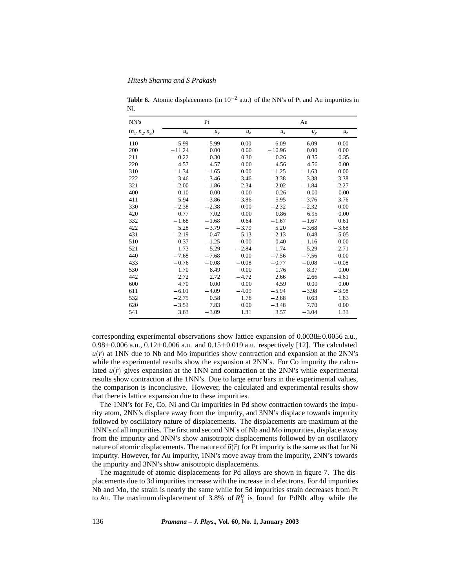| NN's              |          | Pt      |         |          | Au      |         |
|-------------------|----------|---------|---------|----------|---------|---------|
| $(n_1, n_2, n_3)$ | $u_x$    | $u_y$   | $u_z$   | $u_x$    | $u_y$   | $u_z$   |
| 110               | 5.99     | 5.99    | 0.00    | 6.09     | 6.09    | 0.00    |
| 200               | $-11.24$ | 0.00    | 0.00    | $-10.96$ | 0.00    | 0.00    |
| 211               | 0.22     | 0.30    | 0.30    | 0.26     | 0.35    | 0.35    |
| 220               | 4.57     | 4.57    | 0.00    | 4.56     | 4.56    | 0.00    |
| 310               | $-1.34$  | $-1.65$ | 0.00    | $-1.25$  | $-1.63$ | 0.00    |
| 222               | $-3.46$  | $-3.46$ | $-3.46$ | $-3.38$  | $-3.38$ | $-3.38$ |
| 321               | 2.00     | $-1.86$ | 2.34    | 2.02     | $-1.84$ | 2.27    |
| 400               | 0.10     | 0.00    | 0.00    | 0.26     | 0.00    | 0.00    |
| 411               | 5.94     | $-3.86$ | $-3.86$ | 5.95     | $-3.76$ | $-3.76$ |
| 330               | $-2.38$  | $-2.38$ | 0.00    | $-2.32$  | $-2.32$ | 0.00    |
| 420               | 0.77     | 7.02    | 0.00    | 0.86     | 6.95    | 0.00    |
| 332               | $-1.68$  | $-1.68$ | 0.64    | $-1.67$  | $-1.67$ | 0.61    |
| 422               | 5.28     | $-3.79$ | $-3.79$ | 5.20     | $-3.68$ | $-3.68$ |
| 431               | $-2.19$  | 0.47    | 5.13    | $-2.13$  | 0.48    | 5.05    |
| 510               | 0.37     | $-1.25$ | 0.00    | 0.40     | $-1.16$ | 0.00    |
| 521               | 1.73     | 5.29    | $-2.84$ | 1.74     | 5.29    | $-2.71$ |
| 440               | $-7.68$  | $-7.68$ | 0.00    | $-7.56$  | $-7.56$ | 0.00    |
| 433               | $-0.76$  | $-0.08$ | $-0.08$ | $-0.77$  | $-0.08$ | $-0.08$ |
| 530               | 1.70     | 8.49    | 0.00    | 1.76     | 8.37    | 0.00    |
| 442               | 2.72     | 2.72    | $-4.72$ | 2.66     | 2.66    | $-4.61$ |
| 600               | 4.70     | 0.00    | 0.00    | 4.59     | 0.00    | 0.00    |
| 611               | $-6.01$  | $-4.09$ | $-4.09$ | $-5.94$  | $-3.98$ | $-3.98$ |
| 532               | $-2.75$  | 0.58    | 1.78    | $-2.68$  | 0.63    | 1.83    |
| 620               | $-3.53$  | 7.83    | 0.00    | $-3.48$  | 7.70    | 0.00    |
| 541               | 3.63     | $-3.09$ | 1.31    | 3.57     | $-3.04$ | 1.33    |

**Table 6.** Atomic displacements (in  $10^{-2}$  a.u.) of the NN's of Pt and Au impurities in Ni.

corresponding experimental observations show lattice expansion of  $0.0038\pm0.0056$  a.u.,  $0.98\pm0.006$  a.u.,  $0.12\pm0.006$  a.u. and  $0.15\pm0.019$  a.u. respectively [12]. The calculated  $u(r)$  at 1NN due to Nb and Mo impurities show contraction and expansion at the 2NN's while the experimental results show the expansion at 2NN's. For Co impurity the calculated  $u(r)$  gives expansion at the 1NN and contraction at the 2NN's while experimental results show contraction at the 1NN's. Due to large error bars in the experimental values, the comparison is inconclusive. However, the calculated and experimental results show that there is lattice expansion due to these impurities.

The 1NN's for Fe, Co, Ni and Cu impurities in Pd show contraction towards the impurity atom, 2NN's displace away from the impurity, and 3NN's displace towards impurity followed by oscillatory nature of displacements. The displacements are maximum at the 1NN's of all impurities. The first and second NN's of Nb and Mo impurities, displace away from the impurity and 3NN's show anisotropic displacements followed by an oscillatory nature of atomic displacements. The nature of  $\vec{u}(\vec{r})$  for Pt impurity is the same as that for Ni impurity. However, for Au impurity, 1NN's move away from the impurity, 2NN's towards the impurity and 3NN's show anisotropic displacements.

The magnitude of atomic displacements for Pd alloys are shown in figure 7. The displacements due to 3d impurities increase with the increase in d electrons. For 4d impurities Nb and Mo, the strain is nearly the same while for 5d impurities strain decreases from Pt to Au. The maximum displacement of  $3.8\%$  of  $R_1^0$  is found for PdNb alloy while the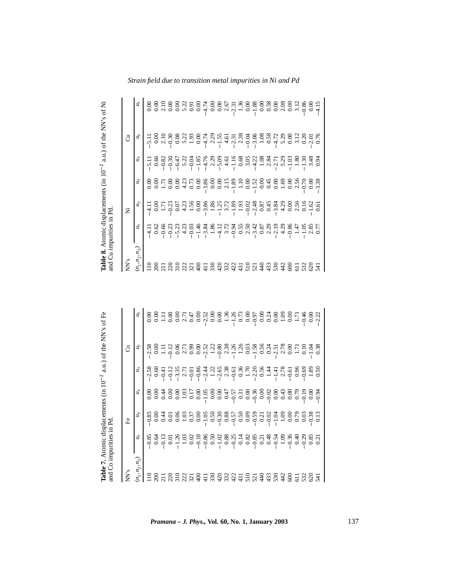| Table 8. Atomic displacements<br>and Cu impurities in Pd |                               |           | $(in 10^{-2}$  |                      | a.u.) of the NN's of Ni |                  |
|----------------------------------------------------------|-------------------------------|-----------|----------------|----------------------|-------------------------|------------------|
| NN's                                                     |                               | ž         |                |                      | ්                       |                  |
| $n_1, n_2, n_3$                                          | ų,                            | ų,        | $u_z$          | $u_x$                | $u_y$                   | u <sub>z</sub>   |
| $\frac{10}{11}$                                          | $\overline{\phantom{0}}$<br>4 | $\Xi$     | 0.00           | $\overline{51}$      | $\overline{51}$         | 0.00             |
| 200                                                      | 0.62                          | $_{0.00}$ | $_{\rm 0.00}$  | 0.66                 | 0.00                    | 0.00             |
|                                                          | .66<br>0                      | 1.71      | 1.71           | 0.82                 | 2.10                    | 2.10             |
| $\overline{22}$                                          | $\ddot{c}$<br>0               | 0.23      | 0.00           | $-0.30$              | 0.30                    | 0.00             |
| $\frac{310}{2}$                                          | 23<br>5                       | 0.07      | $_{0.00}$      | 6.47                 | 0.08                    | 0.00             |
| 222                                                      | 4.23                          | 4.23      | 4.23           | 5.22                 | 5.22                    | 5.22             |
| 32                                                       | $\overline{0}$<br>$\circ$     | 1.56      | 0.73           | $-0.04$              | 1.93                    | 0.91             |
| $\frac{6}{3}$                                            | $\frac{6}{4}$                 | 0.00      | 0.00           | $-1.85$              | 0.00                    | 0.00             |
|                                                          | $\overline{84}$<br>$\sim$     | 3.86      | 3.86           | $-4.76$              | 4.74                    | 4.74             |
| 330                                                      | 1.86                          | 1.86      | 0.00           | 2.29                 | 2.29                    | 0.00             |
| 420                                                      | 4.12                          | 55        | 0.00           | 5.09                 | 1.55                    | 0.00             |
| 32<br>$\mathfrak{m}$                                     | 3.72                          | 3.72      | 2.15           | 4.61                 | 4.61                    | $2.67$<br>$2.31$ |
| 422                                                      | 0.94                          | 1.89      | 1.89           | 1.16                 | 2.31                    |                  |
| $\overline{431}$                                         | 0.55                          | 1.93      | 1.10           | 0.68                 | 2.38                    | 1.36             |
| $\frac{510}{5}$                                          | 2.50                          | $-0.02$   | 0.00           | 3.05                 | 0.04                    | 0.00             |
| 521                                                      | 3.42                          | 2.48      | 1.52           | 4.22                 | 3.06                    | 1.88             |
| $rac{4}{4}$                                              | 0.87                          | 0.87      | $\frac{8}{10}$ | 1.08                 | 1.08                    | 0.00             |
| 433                                                      | 2.29                          | 645       | 0.45           |                      | 0.58                    | 0.58             |
| 530                                                      | 2.19                          | 3.84      | 0.00           | 2.31<br>2.73<br>5.29 | 4.72                    | 0.00             |
| 442                                                      | 4.29                          | 4.29      | 1.69           |                      | 5.29                    | 2.08             |
| 600                                                      | .86<br>0                      | 0.00      | 0.00           | $\ddot{\mathrm{c}}$  | 0.00                    | 0.00             |
| $\overline{11}$                                          | 47                            | 2.56      | 2.56           | $\ddot{8}$           | 3.12                    | 3.12             |
| 532                                                      | 1.05                          | 0.16      | 0.70           | $\ddot{\mathrm{S}}$  | 0.20                    | 0.86             |
| 620                                                      | 2.85                          | 1.62      | 0.00           | 3.48                 | 2.01                    | $_{\rm 0.00}$    |
| 541                                                      | 77<br>$\circ$                 | 0.61      | 38<br>$\sim$   | $\ddot{9}$           | $\overline{0}$          | 4.15             |

| Table 7. Atomic displacements<br>and Co impurities in Pd |         |                   | $(in 10^{-2}$ |                                   | a.u.) of the NN's of Fe |                |
|----------------------------------------------------------|---------|-------------------|---------------|-----------------------------------|-------------------------|----------------|
| NN's                                                     |         | Êe                |               |                                   | රි                      |                |
| $(n_1,n_2,n_3$                                           | ų,      | ý,                | $u_z$         | цŗ                                | $\mu_y$                 | u <sub>z</sub> |
| $\frac{10}{10}$                                          | 0.85    | 0.85              | 0.00          | 2.58                              | 2.58                    | 0.00           |
|                                                          | 0.64    | 0.00              | 0.00          | 0.60                              | 0.00                    | 0.00           |
| ន្តីដូនដូង                                               | 0.13    | 0.44              | 0.44          | न्<br>$\circ$                     | $\Xi$                   | Ξ              |
|                                                          | 0.01    | $\overline{0.01}$ | 0.00          | 0.12                              | 0.12                    | 0.00           |
|                                                          | 1.26    | 0.06              | 0.00          | 3.35                              | 0.06                    | 0.00           |
|                                                          | 1.03    | 1.03              | 1.03          | 2.71                              | 2.71                    | 2.71           |
|                                                          | 0.02    | 0.37              | 0.17          | $-0.01$                           | 6.99                    | 0.47           |
| $rac{1}{4}$                                              | $-0.18$ | 0.00              | 0.00          | $-0.86$                           | 0.00                    | 0.00           |
| $\frac{1}{4}$                                            | $-0.86$ | $-1.05$           | 1.05          | 2.44                              | 2.52                    | 2.52           |
| 330                                                      | 0.50    | 0.50              | 0.00          | 1.22                              | 1.22                    | 0.00           |
| $\frac{5}{332}$                                          | 1.02    | $-0.30$           | 0.00          | 2.65                              | 0.80                    | $_{\rm 0.00}$  |
|                                                          | 0.88    | 0.88              | 0.47          | 2.38                              | 2.38                    | 1.36           |
| 422                                                      | $-0.25$ | 0.57              | 0.57          | 0.61                              | $-1.26$                 | 1.26           |
| 431                                                      | 0.14    | 0.50              | 0.31          | 0.36                              | 1.26                    | 0.73           |
| $\frac{510}{521}$                                        | 0.82    | 0.09              | 0.00          | 1.70                              | 0.03                    | 0.00           |
|                                                          | $-0.85$ | $-0.59$           | $-0.36$       | 2.20                              | 1.58                    | 0.97           |
| 440                                                      | 0.21    | 0.21              | $_{0.00}$     | 0.56                              | 0.56                    | 0.00           |
| 433                                                      | 0.48    | S<br>O            | 0.02          | र्च<br>$\overline{\phantom{0}}$   | 0.24                    | 0.24           |
| 530                                                      | 0.54    | S.                | 0.00          | $\pm$<br>$\overline{\phantom{0}}$ | $2.51$<br>$2.78$        | 0.00           |
| 442                                                      | 1.09    | 1.09              | 0.43          | 2.78                              |                         | 1.09           |
| 600                                                      | $-0.36$ | 0.00              | 0.00          | $-0.61$                           | $\frac{8}{10}$          | 0.00           |
| 611<br>532                                               | 0.40    | 0.79              | 0.79          | 0.96                              | 1.71                    | 1.71           |
|                                                          | 0.29    | 0.03              | $-0.19$       | 0.69                              | $\frac{0.10}{2}$        | 0.46           |
| 620                                                      | 0.85    | 0.38              | $_{0.00}$     | 1.89                              | ÏЯ                      | $_{\rm 0.00}$  |
| $\overline{54}$                                          | 0.21    |                   | $-0.94$       | 0.50                              | 0.38                    | 2.22           |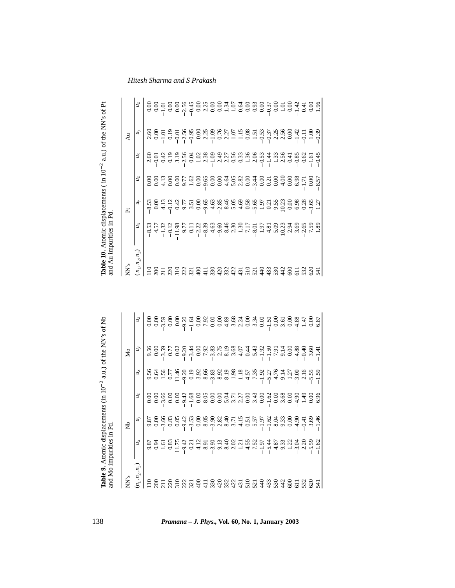| Table 10. Atomic displacements (in $10^{-2}$<br>and Au impurities in Pd |                                                     |                            |               |                              | a.u.) of the NN's of Pt |                     |
|-------------------------------------------------------------------------|-----------------------------------------------------|----------------------------|---------------|------------------------------|-------------------------|---------------------|
| NN's                                                                    |                                                     | ՟                          |               |                              | Åu                      |                     |
| $\binom{n_1, n_2, n_3}{n_1}$                                            | ž                                                   | $\mu_{y}$                  | $u_z$         | ή                            | ú                       | $u_z$               |
| $\frac{10}{2}$                                                          | 8.53                                                | 8.53                       |               |                              | 2.60                    | 0.00                |
| $\overline{200}$                                                        |                                                     | $\frac{8}{10}$             | $_{0.00}$     | $\frac{2.60}{0.01}$          | 0.00                    | 0.00                |
|                                                                         | $4.57$<br>1.32                                      | 4.13                       | 4.13          | 0.42                         | 1.01                    | $-1.01$             |
| $\frac{1}{2}$ $\frac{1}{2}$ $\frac{1}{2}$                               | $-0.12$                                             | 0.12                       | 0.00          | 0.19                         | 0.19                    | 0.00                |
|                                                                         | 11.98                                               | 0.42                       | 0.00          | 3.19                         | $-0.01$                 | 0.00                |
| $\frac{22}{321}$                                                        | 9.77                                                | 9.77                       | 9.77          |                              | 2.56                    | $-2.56$             |
|                                                                         | 0.11                                                | 3.51                       | 1.62          | 0.04                         | 0.95                    | $-0.45$             |
| $\frac{8}{4}$                                                           | 2.22                                                | 0.00                       | 0.00          | 1.02                         | 0.00                    | 0.00                |
| $\frac{11}{4}$                                                          | 8.39                                                | 9.65                       | 9.65          |                              | 2.25                    | $\frac{2.25}{0.00}$ |
| 330                                                                     | 4.63                                                | $4.63$<br>2.85             | 0.00          | $2.38$<br>$-1.09$<br>$-2.27$ | 1.09                    |                     |
| 420                                                                     | 9.60                                                |                            | 0.00          |                              | 0.76                    | $\frac{8}{10}$      |
| 332                                                                     | 8.46                                                | 8.46                       | 4.64          |                              | $-2.27$                 | $-1.34$             |
| 422                                                                     | 2.30                                                | $5.05$<br>4.69             | 5.05          | 0.56                         | $1.07 - 1.15$           | 1.07                |
| 431                                                                     | $\begin{array}{c} 1.30 \\ 7.17 \\ 8.01 \end{array}$ |                            | 2.82          | $-0.33$                      |                         | $-0.64$             |
| 510                                                                     |                                                     |                            | 0.00          | $-1.36$                      | $0.08\,$                | 0.00                |
| 521                                                                     |                                                     | $0.58$<br>5.65<br>1.97     | 3.44          | 2.06                         | 1.51                    | 0.93                |
| 440                                                                     | $1.97$<br>4.81                                      |                            | 0.00          | $-0.53$                      | $-0.53$                 | 0.00                |
| 433                                                                     |                                                     | 0.21                       | 0.21          | $-1.44$                      | $-0.37$                 | $-0.37$             |
| 530                                                                     | 5.09                                                | 9.55                       | 0.00          | 1.33                         |                         | 0.00                |
| 442                                                                     | 10.23                                               | 10.23                      | $\frac{3}{4}$ | $-2.56$                      | $2.25$<br>$2.56$        | $-1.01$             |
| 600                                                                     |                                                     | 0.00                       | 0.00          | 0.41                         | 0.00                    | 0.00                |
| $\overline{11}$                                                         |                                                     | 6.98                       | 6.98          | $-0.85$                      | $-1.42$                 | $-1.42$             |
| 532                                                                     | $2888$<br>$2888$<br>$78$                            |                            | 1.71          | 0.62                         | $-0.11$                 | 0.41                |
| 620                                                                     |                                                     | $0.28$<br>$3.65$<br>$1.27$ | 0.00          | 5.                           | 1.00                    | 0.00                |
| 541                                                                     | 1.89                                                |                            | $-8.57$       | $-0.45$                      | $-0.39$                 | 1.96                |

| Table 9. Atomic displacements (in $10^{-2}$<br>and Mo impurities in Pd |                  |                  |                  |                                    | a.u.) of the NN's of Nb    |                  |
|------------------------------------------------------------------------|------------------|------------------|------------------|------------------------------------|----------------------------|------------------|
| NN's                                                                   |                  | £                |                  |                                    | Йo                         |                  |
| $(n_1, n_2, n_3)$                                                      | йx               | $\tilde{n}$      | $u_{z}$          | йx                                 | $u_y$                      | $u_z$            |
| $\frac{10}{2}$                                                         | 9.87             | 9.87             | 0.00             | 9.56                               | 9.56                       | 0.00             |
| $\approx$                                                              | 0.94             | 0.00             | 0.00             | 0.64                               | 0.00                       | $_{0.00}$        |
| $\overline{211}$                                                       | $1.61$           | 3.66             | 3.66             | 1.56                               | 3.59                       | 3.59             |
|                                                                        | 0.83             | 0.83             | 0.00             | 0.77                               | 0.77                       | 0.00             |
| 222                                                                    | 11.75            | 0.05             | 0.00             | $\ddot{ }$<br>$\equiv$             | 0.02                       | 0.00             |
|                                                                        | 9.42             | 9.42             | 9.42             | 9.20                               | 9.20                       | 9.20             |
| 321                                                                    | 0.21             | 3.53             | 1.68             | 0.19                               | 3.44                       | 1.64             |
| $rac{6}{4}$                                                            | 4.12             | 0.00             | 0.00             | 3.92                               | 0.00                       | $_{0.00}$        |
| $\frac{11}{4}$                                                         | 8.91             | 8.05             | 8.05             |                                    | 7.92                       | 7.92             |
| 330                                                                    |                  |                  | 0.00             |                                    |                            | 0.00             |
| 420                                                                    | 3.90             | $3.90$<br>$2.82$ | 0.00             | 8.66<br>0.83<br>0.819<br>8.19      | $3.83$<br>$2.75$<br>$8.19$ | 0.00             |
| 332                                                                    | 8.40             | 8.40             | 5.04             |                                    |                            | 4.89             |
| 422                                                                    | 2.02             | 3.71             |                  | 1.98                               | 3.68                       |                  |
| $\overline{431}$                                                       | $-1.21$          |                  | $3.71$<br>$2.27$ | $\overline{.18}$<br>$\overline{1}$ | $-4.07$                    | $3.68$<br>$2.24$ |
| 510                                                                    | 4.55             | 0.51             | 0.00             | 4.57                               | 0.44                       | 0.00             |
| 521                                                                    | 7.52             | $5.57$<br>1.97   | 3.43             | .35<br>$\overline{ }$              | 5.43                       | 3.34             |
| $rac{40}{4}$                                                           | 1.97             |                  | 0.00             | 1.92                               | 1.92                       | 0.00             |
| 433                                                                    | 5.44             | 1.62             | 1.62             | 5.27                               | $-1.50$                    | 1.50             |
| 530                                                                    | 4.87             | 8.04             | 0.00             | 4.76                               | 7.91                       | 0.00             |
| 442                                                                    | 9.33             | 9.33             | 3.68             | 9.14                               | 9.14                       | 3.61             |
| 600                                                                    | 1.22             | 0.00             | 0.00             | ĽČ.<br>$\overline{\phantom{a}}$    | $_{0.00}$                  | 0.00             |
| $\overline{11}$                                                        | 3.04             | 4.90             | 4.90             | 3.00                               | $-4.88$                    | 4.88             |
| 532                                                                    | 2.20             | 0.41             | 49               |                                    | $-0.40$                    | 1.47             |
| 620                                                                    | $5.59$<br>$1.62$ | 3.69             | 0.00             | $2.16$<br>5.58                     | 3.60                       | 0.00             |
| 541                                                                    |                  | $-1.46$          | 6.96             |                                    | 1.41                       | 6.87             |

138 *Pramana – J. Phys.,* **Vol. 60, No. 1, January 2003**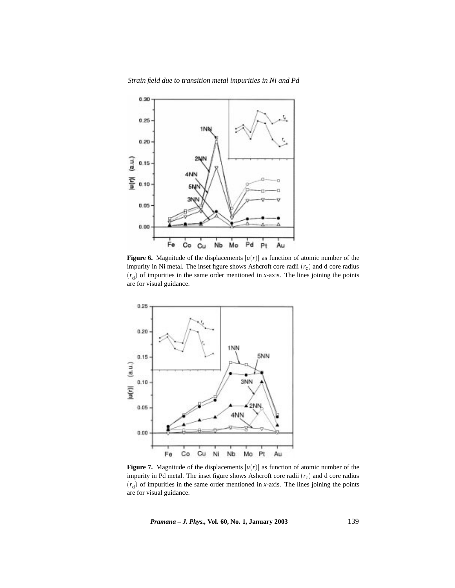*Strain field due to transition metal impurities in Ni and Pd*



**Figure 6.** Magnitude of the displacements  $|u(r)|$  as function of atomic number of the impurity in Ni metal. The inset figure shows Ashcroft core radii  $(r_c)$  and d core radius  $(r_d)$  of impurities in the same order mentioned in *x*-axis. The lines joining the points are for visual guidance.



**Figure 7.** Magnitude of the displacements  $|u(r)|$  as function of atomic number of the impurity in Pd metal. The inset figure shows Ashcroft core radii (*r*c) and d core radius  $(r_d)$  of impurities in the same order mentioned in *x*-axis. The lines joining the points are for visual guidance.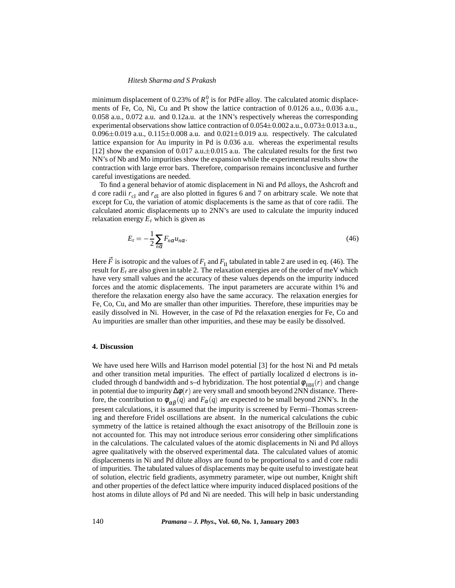minimum displacement of 0.23% of  $R_1^0$  is for PdFe alloy. The calculated atomic displacements of Fe, Co, Ni, Cu and Pt show the lattice contraction of 0.0126 a.u., 0.036 a.u., 0.058 a.u., 0.072 a.u. and 0.12a.u. at the 1NN's respectively whereas the corresponding experimental observations show lattice contraction of  $0.054\pm0.002$  a.u.,  $0.073\pm0.013$  a.u.,  $0.096\pm0.019$  a.u.,  $0.115\pm0.008$  a.u. and  $0.021\pm0.019$  a.u. respectively. The calculated lattice expansion for Au impurity in Pd is 0.036 a.u. whereas the experimental results [12] show the expansion of 0.017 a.u. $\pm$ 0.015 a.u. The calculated results for the first two NN's of Nb and Mo impurities show the expansion while the experimental results show the contraction with large error bars. Therefore, comparison remains inconclusive and further careful investigations are needed.

To find a general behavior of atomic displacement in Ni and Pd alloys, the Ashcroft and d core radii  $r_{cl}$  and  $r_{dl}$  are also plotted in figures 6 and 7 on arbitrary scale. We note that except for Cu, the variation of atomic displacements is the same as that of core radii. The calculated atomic displacements up to 2NN's are used to calculate the impurity induced relaxation energy  $E_r$  which is given as

$$
E_{\rm r} = -\frac{1}{2} \sum_{n\alpha} F_{n\alpha} u_{n\alpha}.
$$
\n(46)

Here  $\vec{F}$  is isotropic and the values of  $F_I$  and  $F_{II}$  tabulated in table 2 are used in eq. (46). The result for  $E_r$  are also given in table 2. The relaxation energies are of the order of meV which have very small values and the accuracy of these values depends on the impurity induced forces and the atomic displacements. The input parameters are accurate within 1% and therefore the relaxation energy also have the same accuracy. The relaxation energies for Fe, Co, Cu, and Mo are smaller than other impurities. Therefore, these impurities may be easily dissolved in Ni. However, in the case of Pd the relaxation energies for Fe, Co and Au impurities are smaller than other impurities, and these may be easily be dissolved.

#### **4. Discussion**

We have used here Wills and Harrison model potential [3] for the host Ni and Pd metals and other transition metal impurities. The effect of partially localized d electrons is included through d bandwidth and s–d hybridization. The host potential  $\phi_{HH}(r)$  and change in potential due to impurity ∆φ (*r*) are very small and smooth beyond 2NN distance. Therefore, the contribution to  $\phi_{\alpha\beta}(q)$  and  $F_{\alpha}(q)$  are expected to be small beyond 2NN's. In the present calculations, it is assumed that the impurity is screened by Fermi–Thomas screening and therefore Fridel oscillations are absent. In the numerical calculations the cubic symmetry of the lattice is retained although the exact anisotropy of the Brillouin zone is not accounted for. This may not introduce serious error considering other simplifications in the calculations. The calculated values of the atomic displacements in Ni and Pd alloys agree qualitatively with the observed experimental data. The calculated values of atomic displacements in Ni and Pd dilute alloys are found to be proportional to s and d core radii of impurities. The tabulated values of displacements may be quite useful to investigate heat of solution, electric field gradients, asymmetry parameter, wipe out number, Knight shift and other properties of the defect lattice where impurity induced displaced positions of the host atoms in dilute alloys of Pd and Ni are needed. This will help in basic understanding